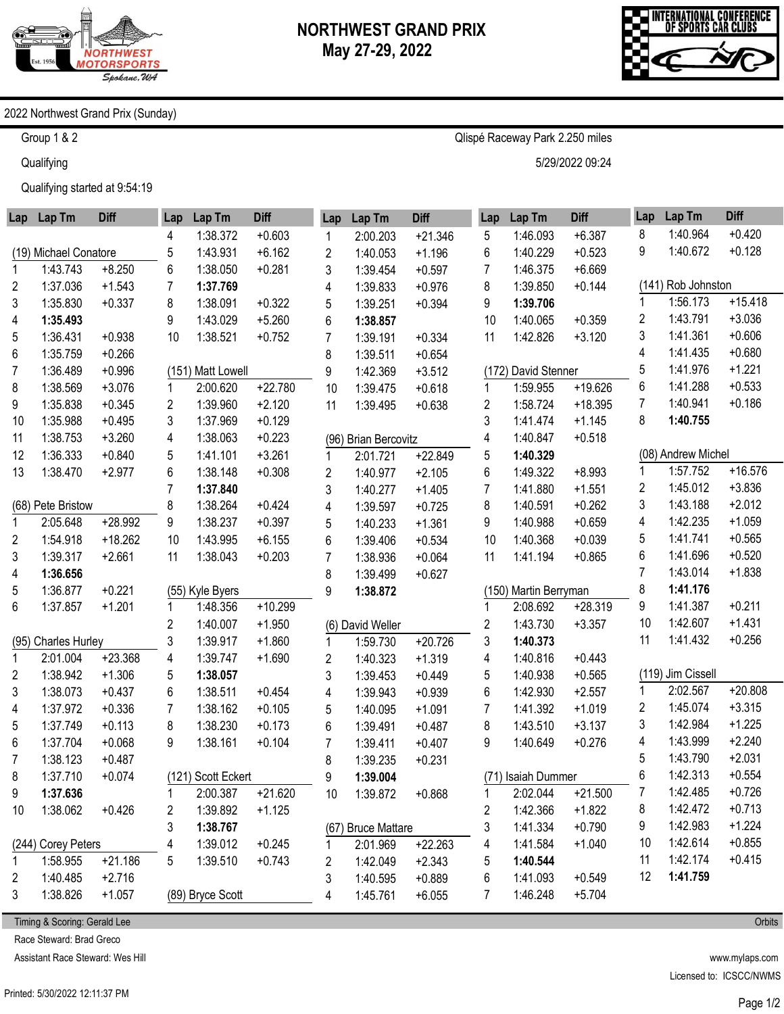



#### 2022 Northwest Grand Prix (Sunday)

Group 1 & 2

**Qualifying** 

Qualifying started at 9:54:19

| Lap            | Lap Tm                | <b>Diff</b> | Lap                     | Lap Tm             | <b>Diff</b> | Lap                     | Lap Tm               | <b>Diff</b> | Lap | Lap Tm                | <b>Diff</b> | Lap | Lap Tm             | <b>Diff</b> |
|----------------|-----------------------|-------------|-------------------------|--------------------|-------------|-------------------------|----------------------|-------------|-----|-----------------------|-------------|-----|--------------------|-------------|
|                |                       |             | 4                       | 1:38.372           | $+0.603$    | 1                       | 2:00.203             | $+21.346$   | 5   | 1:46.093              | $+6.387$    | 8   | 1:40.964           | $+0.420$    |
|                | (19) Michael Conatore |             | 5                       | 1:43.931           | $+6.162$    | $\overline{2}$          | 1:40.053             | $+1.196$    | 6   | 1:40.229              | $+0.523$    | 9   | 1:40.672           | $+0.128$    |
|                | 1:43.743              | $+8.250$    | 6                       | 1:38.050           | $+0.281$    | 3                       | 1:39.454             | $+0.597$    | 7   | 1:46.375              | $+6.669$    |     |                    |             |
| 2              | 1:37.036              | $+1.543$    | 7                       | 1:37.769           |             | 4                       | 1:39.833             | $+0.976$    | 8   | 1:39.850              | $+0.144$    |     | (141) Rob Johnston |             |
| 3              | 1:35.830              | $+0.337$    | 8                       | 1:38.091           | $+0.322$    | 5                       | 1:39.251             | $+0.394$    | 9   | 1:39.706              |             | 1   | 1:56.173           | $+15.418$   |
| 4              | 1:35.493              |             | 9                       | 1:43.029           | $+5.260$    | 6                       | 1:38.857             |             | 10  | 1:40.065              | $+0.359$    | 2   | 1:43.791           | $+3.036$    |
| 5              | 1:36.431              | $+0.938$    | 10                      | 1:38.521           | $+0.752$    | $\overline{7}$          | 1:39.191             | $+0.334$    | 11  | 1:42.826              | $+3.120$    | 3   | 1:41.361           | $+0.606$    |
| 6              | 1:35.759              | $+0.266$    |                         |                    |             | 8                       | 1:39.511             | $+0.654$    |     |                       |             | 4   | 1:41.435           | $+0.680$    |
| $\overline{7}$ | 1:36.489              | $+0.996$    |                         | (151) Matt Lowell  |             | 9                       | 1:42.369             | $+3.512$    |     | (172) David Stenner   |             | 5   | 1:41.976           | $+1.221$    |
| 8              | 1:38.569              | $+3.076$    |                         | 2:00.620           | $+22.780$   | 10                      | 1:39.475             | $+0.618$    | 1   | 1:59.955              | $+19.626$   | 6   | 1:41.288           | $+0.533$    |
| 9              | 1:35.838              | $+0.345$    | 2                       | 1:39.960           | $+2.120$    | 11                      | 1:39.495             | $+0.638$    | 2   | 1:58.724              | $+18.395$   | 7   | 1:40.941           | $+0.186$    |
| 10             | 1:35.988              | $+0.495$    | 3                       | 1:37.969           | $+0.129$    |                         |                      |             | 3   | 1:41.474              | $+1.145$    | 8   | 1:40.755           |             |
| 11             | 1:38.753              | $+3.260$    | 4                       | 1:38.063           | $+0.223$    |                         | (96) Brian Bercovitz |             | 4   | 1:40.847              | $+0.518$    |     |                    |             |
| 12             | 1:36.333              | $+0.840$    | 5                       | 1:41.101           | $+3.261$    | 1                       | 2:01.721             | $+22.849$   | 5   | 1:40.329              |             |     | (08) Andrew Michel |             |
| 13             | 1:38.470              | $+2.977$    | 6                       | 1:38.148           | $+0.308$    | $\overline{\mathbf{c}}$ | 1:40.977             | $+2.105$    | 6   | 1:49.322              | $+8.993$    | 1   | 1:57.752           | $+16.576$   |
|                |                       |             | 7                       | 1:37.840           |             | 3                       | 1:40.277             | $+1.405$    | 7   | 1:41.880              | $+1.551$    | 2   | 1:45.012           | $+3.836$    |
|                | (68) Pete Bristow     |             | 8                       | 1:38.264           | $+0.424$    | 4                       | 1:39.597             | $+0.725$    | 8   | 1:40.591              | $+0.262$    | 3   | 1:43.188           | $+2.012$    |
| 1              | 2:05.648              | +28.992     | 9                       | 1:38.237           | $+0.397$    | 5                       | 1:40.233             | $+1.361$    | 9   | 1:40.988              | $+0.659$    | 4   | 1:42.235           | $+1.059$    |
| 2              | 1:54.918              | $+18.262$   | 10                      | 1:43.995           | $+6.155$    | 6                       | 1:39.406             | $+0.534$    | 10  | 1:40.368              | $+0.039$    | 5   | 1:41.741           | $+0.565$    |
| 3              | 1:39.317              | $+2.661$    | 11                      | 1:38.043           | $+0.203$    | $\overline{7}$          | 1:38.936             | $+0.064$    | 11  | 1:41.194              | $+0.865$    | 6   | 1:41.696           | $+0.520$    |
| 4              | 1:36.656              |             |                         |                    |             | 8                       | 1:39.499             | $+0.627$    |     |                       |             | 7   | 1:43.014           | $+1.838$    |
| 5              | 1:36.877              | $+0.221$    |                         | (55) Kyle Byers    |             | 9                       | 1:38.872             |             |     | (150) Martin Berryman |             | 8   | 1:41.176           |             |
| 6              | 1:37.857              | $+1.201$    |                         | 1:48.356           | $+10.299$   |                         |                      |             |     | 2:08.692              | $+28.319$   | 9   | 1:41.387           | $+0.211$    |
|                |                       |             | $\overline{\mathbf{c}}$ | 1:40.007           | $+1.950$    |                         | (6) David Weller     |             | 2   | 1:43.730              | $+3.357$    | 10  | 1:42.607           | $+1.431$    |
|                | (95) Charles Hurley   |             | 3                       | 1:39.917           | $+1.860$    | 1                       | 1:59.730             | $+20.726$   | 3   | 1:40.373              |             | 11  | 1:41.432           | $+0.256$    |
| 1              | 2:01.004              | $+23.368$   | 4                       | 1:39.747           | $+1.690$    | $\overline{2}$          | 1:40.323             | $+1.319$    | 4   | 1:40.816              | $+0.443$    |     |                    |             |
| 2              | 1:38.942              | $+1.306$    | 5                       | 1:38.057           |             | 3                       | 1:39.453             | $+0.449$    | 5   | 1:40.938              | $+0.565$    |     | (119) Jim Cissell  |             |
| 3              | 1:38.073              | $+0.437$    | 6                       | 1:38.511           | $+0.454$    | 4                       | 1:39.943             | $+0.939$    | 6   | 1:42.930              | $+2.557$    | 1   | 2:02.567           | $+20.808$   |
| 4              | 1:37.972              | $+0.336$    | $\overline{7}$          | 1:38.162           | $+0.105$    | 5                       | 1:40.095             | $+1.091$    | 7   | 1:41.392              | $+1.019$    | 2   | 1:45.074           | $+3.315$    |
| 5              | 1:37.749              | $+0.113$    | 8                       | 1:38.230           | $+0.173$    | 6                       | 1:39.491             | $+0.487$    | 8   | 1:43.510              | $+3.137$    | 3   | 1:42.984           | $+1.225$    |
| 6              | 1:37.704              | $+0.068$    | 9                       | 1:38.161           | $+0.104$    | 7                       | 1:39.411             | $+0.407$    | 9   | 1:40.649              | $+0.276$    | 4   | 1:43.999           | $+2.240$    |
| 7              | 1:38.123              | $+0.487$    |                         |                    |             | 8                       | 1:39.235             | $+0.231$    |     |                       |             | 5   | 1:43.790           | $+2.031$    |
| 8              | 1:37.710              | $+0.074$    |                         | (121) Scott Eckert |             | 9                       | 1:39.004             |             |     | (71) Isaiah Dummer    |             | 6   | 1:42.313           | $+0.554$    |
| 9              | 1:37.636              |             | 1                       | 2:00.387           | $+21.620$   | 10                      | 1:39.872             | $+0.868$    | 1   | 2:02.044              | $+21.500$   | 7   | 1:42.485           | $+0.726$    |
| 10             | 1:38.062              | $+0.426$    | $\overline{\mathbf{c}}$ | 1:39.892           | $+1.125$    |                         |                      |             | 2   | 1:42.366              | $+1.822$    | 8   | 1:42.472           | $+0.713$    |
|                |                       |             | 3                       | 1:38.767           |             |                         | (67) Bruce Mattare   |             | 3   | 1:41.334              | $+0.790$    | 9   | 1:42.983           | $+1.224$    |
|                | (244) Corey Peters    |             | 4                       | 1:39.012           | $+0.245$    | 1                       | 2:01.969             | $+22.263$   | 4   | 1:41.584              | $+1.040$    | 10  | 1:42.614           | $+0.855$    |
| 1              | 1:58.955              | $+21.186$   | 5                       | 1:39.510           | $+0.743$    | 2                       | 1:42.049             | $+2.343$    | 5   | 1:40.544              |             | 11  | 1:42.174           | $+0.415$    |
| 2              | 1:40.485              | $+2.716$    |                         |                    |             | 3                       | 1:40.595             | $+0.889$    | 6   | 1:41.093              | $+0.549$    | 12  | 1:41.759           |             |
| 3              | 1:38.826              | $+1.057$    |                         | (89) Bryce Scott   |             | 4                       | 1:45.761             | $+6.055$    | 7   | 1:46.248              | $+5.704$    |     |                    |             |

Timing & Scoring: Gerald Lee

Race Steward: Brad Greco

Assistant Race Steward: Wes Hill

www.mylaps.com Licensed to: ICSCC/NWMS

**Orbits** 

Qlispé Raceway Park 2.250 miles

5/29/2022 09:24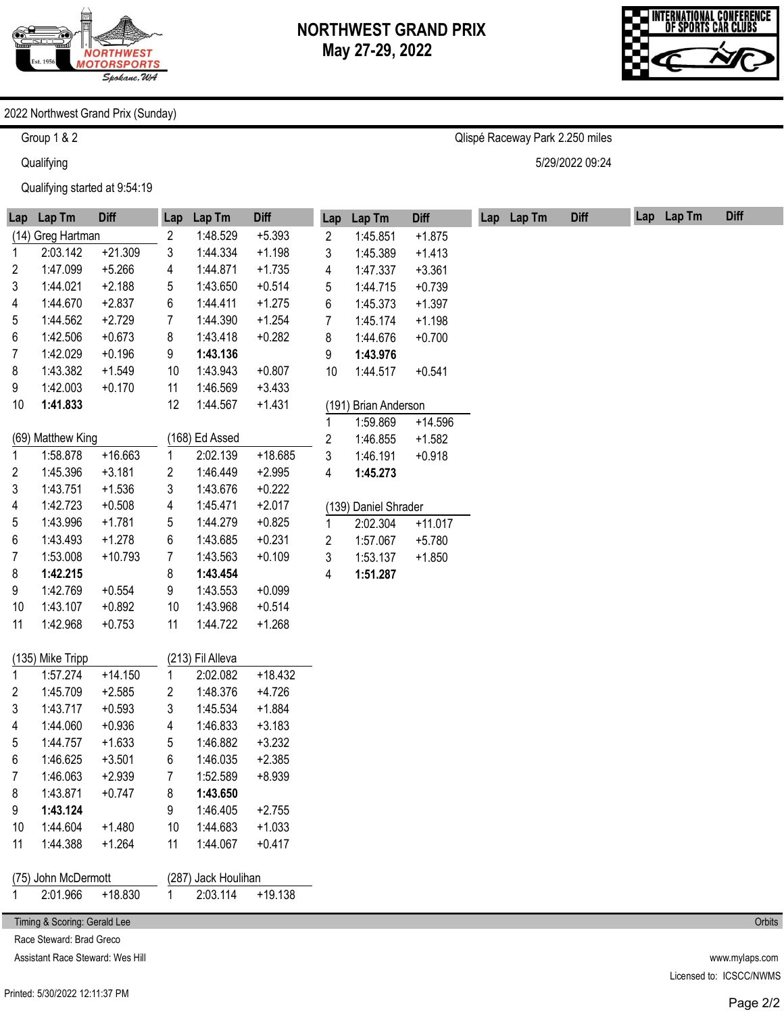

Qlispé Raceway Park 2.250 miles

5/29/2022 09:24



#### 2022 Northwest Grand Prix (Sunday)

Group 1 & 2

**Qualifying** 

Qualifying started at 9:54:19

| Lap                                        | Lap Tm                       | <b>Diff</b> | Lap         | Lap Tm                       | <b>Diff</b> | Lap                     | Lap Tm               | <b>Diff</b> |  | Lap Lap Tm | <b>Diff</b> | Lap Lap Tm | <b>Diff</b> |
|--------------------------------------------|------------------------------|-------------|-------------|------------------------------|-------------|-------------------------|----------------------|-------------|--|------------|-------------|------------|-------------|
|                                            | (14) Greg Hartman            |             | 2           | 1:48.529                     | $+5.393$    | 2                       | 1:45.851             | $+1.875$    |  |            |             |            |             |
| 1                                          | 2:03.142                     | $+21.309$   | 3           | 1:44.334                     | $+1.198$    | 3                       | 1:45.389             | $+1.413$    |  |            |             |            |             |
| 2                                          | 1:47.099                     | $+5.266$    | 4           | 1:44.871                     | $+1.735$    | 4                       | 1:47.337             | $+3.361$    |  |            |             |            |             |
| 3                                          | 1:44.021                     | $+2.188$    | 5           | 1:43.650                     | $+0.514$    | 5                       | 1:44.715             | $+0.739$    |  |            |             |            |             |
| 4                                          | 1:44.670                     | $+2.837$    | 6           | 1:44.411                     | $+1.275$    | 6                       | 1:45.373             | $+1.397$    |  |            |             |            |             |
| 5                                          | 1:44.562                     | $+2.729$    | 7           | 1:44.390                     | $+1.254$    | 7                       | 1:45.174             | $+1.198$    |  |            |             |            |             |
| 6                                          | 1:42.506                     | $+0.673$    | 8           | 1:43.418                     | $+0.282$    | 8                       | 1:44.676             | $+0.700$    |  |            |             |            |             |
| 7                                          | 1:42.029                     | $+0.196$    | 9           | 1:43.136                     |             | 9                       | 1:43.976             |             |  |            |             |            |             |
| 8                                          | 1:43.382                     | $+1.549$    | 10          | 1:43.943                     | $+0.807$    | 10                      | 1:44.517             | $+0.541$    |  |            |             |            |             |
| 9                                          | 1:42.003                     | $+0.170$    | 11          | 1:46.569                     | $+3.433$    |                         |                      |             |  |            |             |            |             |
| 10                                         | 1:41.833                     |             | 12          | 1:44.567                     | $+1.431$    |                         | (191) Brian Anderson |             |  |            |             |            |             |
|                                            |                              |             |             |                              |             | 1                       | 1:59.869             | $+14.596$   |  |            |             |            |             |
|                                            | (69) Matthew King            |             |             | (168) Ed Assed               |             | $\overline{\mathbf{c}}$ | 1:46.855             | $+1.582$    |  |            |             |            |             |
| 1                                          | 1:58.878                     | $+16.663$   | 1           | 2:02.139                     | $+18.685$   | 3                       | 1:46.191             | $+0.918$    |  |            |             |            |             |
| $\overline{2}$                             | 1:45.396                     | $+3.181$    | 2           | 1:46.449                     | $+2.995$    | 4                       | 1:45.273             |             |  |            |             |            |             |
| 3                                          | 1:43.751                     | $+1.536$    | 3           | 1:43.676                     | $+0.222$    |                         |                      |             |  |            |             |            |             |
| 4                                          | 1:42.723                     | $+0.508$    | 4           | 1:45.471                     | $+2.017$    |                         | (139) Daniel Shrader |             |  |            |             |            |             |
| 5                                          | 1:43.996                     | $+1.781$    | 5           | 1:44.279                     | $+0.825$    | 1                       | 2:02.304             | $+11.017$   |  |            |             |            |             |
| 6                                          | 1:43.493                     | $+1.278$    | 6           | 1:43.685                     | $+0.231$    | 2                       | 1:57.067             | $+5.780$    |  |            |             |            |             |
| 7                                          | 1:53.008                     | $+10.793$   | 7           | 1:43.563                     | $+0.109$    | 3                       | 1:53.137             | $+1.850$    |  |            |             |            |             |
| 8                                          | 1:42.215                     |             | 8           | 1:43.454                     |             | 4                       | 1:51.287             |             |  |            |             |            |             |
| 9                                          | 1:42.769                     | $+0.554$    | 9           | 1:43.553                     | $+0.099$    |                         |                      |             |  |            |             |            |             |
| 10                                         | 1:43.107                     | $+0.892$    | 10          | 1:43.968                     | $+0.514$    |                         |                      |             |  |            |             |            |             |
| 11                                         | 1:42.968                     | $+0.753$    | 11          | 1:44.722                     | $+1.268$    |                         |                      |             |  |            |             |            |             |
|                                            |                              |             |             |                              |             |                         |                      |             |  |            |             |            |             |
|                                            | (135) Mike Tripp<br>1:57.274 | $+14.150$   |             | (213) Fil Alleva<br>2:02.082 | $+18.432$   |                         |                      |             |  |            |             |            |             |
| 1<br>2                                     | 1:45.709                     | $+2.585$    | 1.<br>2     | 1:48.376                     | $+4.726$    |                         |                      |             |  |            |             |            |             |
| 3                                          | 1:43.717                     | $+0.593$    | 3           | 1:45.534                     | $+1.884$    |                         |                      |             |  |            |             |            |             |
| 4                                          | 1:44.060                     | $+0.936$    | 4           | 1:46.833                     | $+3.183$    |                         |                      |             |  |            |             |            |             |
| 5                                          | 1:44.757                     | $+1.633$    | 5           | 1:46.882                     | $+3.232$    |                         |                      |             |  |            |             |            |             |
| 6                                          | 1:46.625                     | $+3.501$    | 6           | 1:46.035                     | $+2.385$    |                         |                      |             |  |            |             |            |             |
| $\overline{7}$                             | 1:46.063                     | $+2.939$    | 7           | 1:52.589                     | $+8.939$    |                         |                      |             |  |            |             |            |             |
| 8                                          | 1:43.871                     | $+0.747$    | 8           | 1:43.650                     |             |                         |                      |             |  |            |             |            |             |
| 9                                          | 1:43.124                     |             | 9           | 1:46.405                     | $+2.755$    |                         |                      |             |  |            |             |            |             |
| 10                                         | 1:44.604                     | $+1.480$    | 10          | 1:44.683                     | $+1.033$    |                         |                      |             |  |            |             |            |             |
| 11                                         | 1:44.388                     | $+1.264$    | 11          | 1:44.067                     | $+0.417$    |                         |                      |             |  |            |             |            |             |
|                                            |                              |             |             |                              |             |                         |                      |             |  |            |             |            |             |
| (75) John McDermott<br>(287) Jack Houlihan |                              |             |             |                              |             |                         |                      |             |  |            |             |            |             |
|                                            | 2:01.966                     | $+18.830$   | $\mathbf 1$ | 2:03.114                     | $+19.138$   |                         |                      |             |  |            |             |            |             |
| Timing & Scoring: Gerald Lee               |                              |             |             |                              |             |                         |                      |             |  |            |             |            | Orbits      |

Race Steward: Brad Greco

Assistant Race Steward: Wes Hill

www.mylaps.com Licensed to: ICSCC/NWMS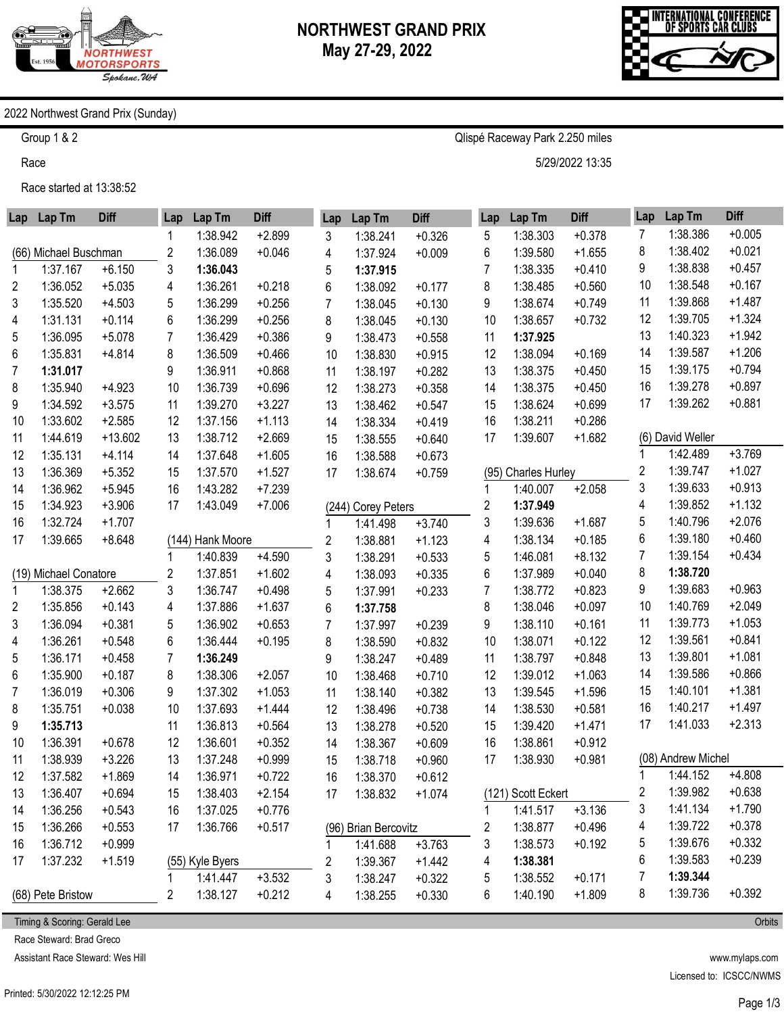

Qlispé Raceway Park 2.250 miles

5/29/2022 13:35



### 2022 Northwest Grand Prix (Sunday)

Group 1 & 2

Race

Race started at 13:38:52

| Lap | Lap Tm                | <b>Diff</b> | Lap            | Lap Tm           | <b>Diff</b> | Lap | Lap Tm               | <b>Diff</b> | Lap | Lap Tm              | <b>Diff</b> | Lap                     | Lap Tm             | <b>Diff</b> |
|-----|-----------------------|-------------|----------------|------------------|-------------|-----|----------------------|-------------|-----|---------------------|-------------|-------------------------|--------------------|-------------|
|     |                       |             |                | 1:38.942         | $+2.899$    | 3   | 1:38.241             | $+0.326$    | 5   | 1:38.303            | $+0.378$    | 7                       | 1:38.386           | $+0.005$    |
|     | (66) Michael Buschman |             | 2              | 1:36.089         | $+0.046$    | 4   | 1:37.924             | $+0.009$    | 6   | 1:39.580            | $+1.655$    | 8                       | 1:38.402           | $+0.021$    |
| 1   | 1:37.167              | $+6.150$    | 3              | 1:36.043         |             | 5   | 1:37.915             |             | 7   | 1:38.335            | $+0.410$    | 9                       | 1:38.838           | $+0.457$    |
| 2   | 1:36.052              | $+5.035$    | 4              | 1:36.261         | $+0.218$    | 6   | 1:38.092             | $+0.177$    | 8   | 1:38.485            | $+0.560$    | 10                      | 1:38.548           | $+0.167$    |
| 3   | 1:35.520              | $+4.503$    | 5              | 1:36.299         | $+0.256$    | 7   | 1:38.045             | $+0.130$    | 9   | 1:38.674            | $+0.749$    | 11                      | 1:39.868           | $+1.487$    |
| 4   | 1:31.131              | $+0.114$    | 6              | 1:36.299         | $+0.256$    | 8   | 1:38.045             | $+0.130$    | 10  | 1:38.657            | $+0.732$    | 12                      | 1:39.705           | $+1.324$    |
| 5   | 1:36.095              | $+5.078$    | 7              | 1:36.429         | $+0.386$    | 9   | 1:38.473             | $+0.558$    | 11  | 1:37.925            |             | 13                      | 1:40.323           | $+1.942$    |
| 6   | 1:35.831              | $+4.814$    | 8              | 1:36.509         | $+0.466$    | 10  | 1:38.830             | $+0.915$    | 12  | 1:38.094            | $+0.169$    | 14                      | 1:39.587           | $+1.206$    |
| 7   | 1:31.017              |             | 9              | 1:36.911         | $+0.868$    | 11  | 1:38.197             | $+0.282$    | 13  | 1:38.375            | $+0.450$    | 15                      | 1:39.175           | $+0.794$    |
| 8   | 1:35.940              | $+4.923$    | 10             | 1:36.739         | $+0.696$    | 12  | 1:38.273             | $+0.358$    | 14  | 1:38.375            | $+0.450$    | 16                      | 1:39.278           | $+0.897$    |
| 9   | 1:34.592              | $+3.575$    | 11             | 1:39.270         | $+3.227$    | 13  | 1:38.462             | $+0.547$    | 15  | 1:38.624            | $+0.699$    | 17                      | 1:39.262           | $+0.881$    |
| 10  | 1:33.602              | $+2.585$    | 12             | 1:37.156         | $+1.113$    | 14  | 1:38.334             | $+0.419$    | 16  | 1:38.211            | $+0.286$    |                         |                    |             |
| 11  | 1:44.619              | $+13.602$   | 13             | 1:38.712         | $+2.669$    | 15  | 1:38.555             | $+0.640$    | 17  | 1:39.607            | $+1.682$    |                         | (6) David Weller   |             |
| 12  | 1:35.131              | $+4.114$    | 14             | 1:37.648         | $+1.605$    | 16  | 1:38.588             | $+0.673$    |     |                     |             |                         | 1:42.489           | $+3.769$    |
| 13  | 1:36.369              | $+5.352$    | 15             | 1:37.570         | $+1.527$    | 17  | 1:38.674             | $+0.759$    |     | (95) Charles Hurley |             | 2                       | 1:39.747           | $+1.027$    |
| 14  | 1:36.962              | $+5.945$    | 16             | 1:43.282         | $+7.239$    |     |                      |             | 1   | 1:40.007            | $+2.058$    | 3                       | 1:39.633           | $+0.913$    |
| 15  | 1:34.923              | $+3.906$    | 17             | 1:43.049         | $+7.006$    |     | (244) Corey Peters   |             | 2   | 1:37.949            |             | 4                       | 1:39.852           | $+1.132$    |
| 16  | 1:32.724              | $+1.707$    |                |                  |             | 1   | 1:41.498             | $+3.740$    | 3   | 1:39.636            | $+1.687$    | 5                       | 1:40.796           | $+2.076$    |
| 17  | 1:39.665              | $+8.648$    |                | (144) Hank Moore |             | 2   | 1:38.881             | $+1.123$    | 4   | 1:38.134            | $+0.185$    | 6                       | 1:39.180           | $+0.460$    |
|     |                       |             |                | 1:40.839         | $+4.590$    | 3   | 1:38.291             | $+0.533$    | 5   | 1:46.081            | $+8.132$    | 7                       | 1:39.154           | $+0.434$    |
|     | (19) Michael Conatore |             | 2              | 1:37.851         | $+1.602$    | 4   | 1:38.093             | $+0.335$    | 6   | 1:37.989            | $+0.040$    | 8                       | 1:38.720           |             |
| 1   | 1:38.375              | $+2.662$    | 3              | 1:36.747         | $+0.498$    | 5   | 1:37.991             | $+0.233$    | 7   | 1:38.772            | $+0.823$    | 9                       | 1:39.683           | $+0.963$    |
| 2   | 1:35.856              | $+0.143$    | 4              | 1:37.886         | $+1.637$    | 6   | 1:37.758             |             | 8   | 1:38.046            | $+0.097$    | 10                      | 1:40.769           | $+2.049$    |
| 3   | 1:36.094              | $+0.381$    | 5              | 1:36.902         | $+0.653$    | 7   | 1:37.997             | $+0.239$    | 9   | 1:38.110            | $+0.161$    | 11                      | 1:39.773           | $+1.053$    |
| 4   | 1:36.261              | $+0.548$    | 6              | 1:36.444         | $+0.195$    | 8   | 1:38.590             | $+0.832$    | 10  | 1:38.071            | $+0.122$    | 12                      | 1:39.561           | $+0.841$    |
| 5   | 1:36.171              | $+0.458$    | $\overline{7}$ | 1:36.249         |             | 9   | 1:38.247             | $+0.489$    | 11  | 1:38.797            | $+0.848$    | 13                      | 1:39.801           | $+1.081$    |
| 6   | 1:35.900              | $+0.187$    | 8              | 1:38.306         | $+2.057$    | 10  | 1:38.468             | $+0.710$    | 12  | 1:39.012            | $+1.063$    | 14                      | 1:39.586           | $+0.866$    |
| 7   | 1:36.019              | $+0.306$    | 9              | 1:37.302         | $+1.053$    | 11  | 1:38.140             | $+0.382$    | 13  | 1:39.545            | $+1.596$    | 15                      | 1:40.101           | $+1.381$    |
| 8   | 1:35.751              | $+0.038$    | 10             | 1:37.693         | $+1.444$    | 12  | 1:38.496             | $+0.738$    | 14  | 1:38.530            | $+0.581$    | 16                      | 1:40.217           | $+1.497$    |
| 9   | 1:35.713              |             | 11             | 1:36.813         | $+0.564$    | 13  | 1:38.278             | $+0.520$    | 15  | 1:39.420            | $+1.471$    | 17                      | 1:41.033           | $+2.313$    |
| 10  | 1:36.391              | $+0.678$    | 12             | 1:36.601         | $+0.352$    | 14  | 1:38.367             | $+0.609$    | 16  | 1:38.861            | $+0.912$    |                         |                    |             |
| 11  | 1:38.939              | $+3.226$    | 13             | 1:37.248         | $+0.999$    | 15  | 1:38.718             | $+0.960$    | 17  | 1:38.930            | $+0.981$    |                         | (08) Andrew Michel |             |
| 12  | 1:37.582              | $+1.869$    | 14             | 1:36.971         | $+0.722$    | 16  | 1:38.370             | $+0.612$    |     |                     |             | 1                       | 1:44.152           | $+4.808$    |
| 13  | 1:36.407              | $+0.694$    | 15             | 1:38.403         | $+2.154$    | 17  | 1:38.832             | $+1.074$    |     | (121) Scott Eckert  |             | $\overline{\mathbf{c}}$ | 1:39.982           | $+0.638$    |
| 14  | 1:36.256              | $+0.543$    | 16             | 1:37.025         | $+0.776$    |     |                      |             | 1   | 1:41.517            | $+3.136$    | 3                       | 1:41.134           | $+1.790$    |
| 15  | 1:36.266              | $+0.553$    | 17             | 1:36.766         | $+0.517$    |     | (96) Brian Bercovitz |             | 2   | 1:38.877            | $+0.496$    | 4                       | 1:39.722           | $+0.378$    |
| 16  | 1:36.712              | $+0.999$    |                |                  |             |     | 1:41.688             | $+3.763$    | 3   | 1:38.573            | $+0.192$    | 5                       | 1:39.676           | $+0.332$    |
| 17  | 1:37.232              | $+1.519$    |                | (55) Kyle Byers  |             | 2   | 1:39.367             | $+1.442$    | 4   | 1:38.381            |             | 6                       | 1:39.583           | $+0.239$    |
|     |                       |             | 1              | 1:41.447         | $+3.532$    | 3   | 1:38.247             | $+0.322$    | 5   | 1:38.552            | $+0.171$    | 7                       | 1:39.344           |             |
|     | (68) Pete Bristow     |             | 2              | 1:38.127         | $+0.212$    | 4   | 1:38.255             | $+0.330$    | 6   | 1:40.190            | $+1.809$    | 8                       | 1:39.736           | $+0.392$    |

Timing & Scoring: Gerald Lee

Race Steward: Brad Greco

Assistant Race Steward: Wes Hill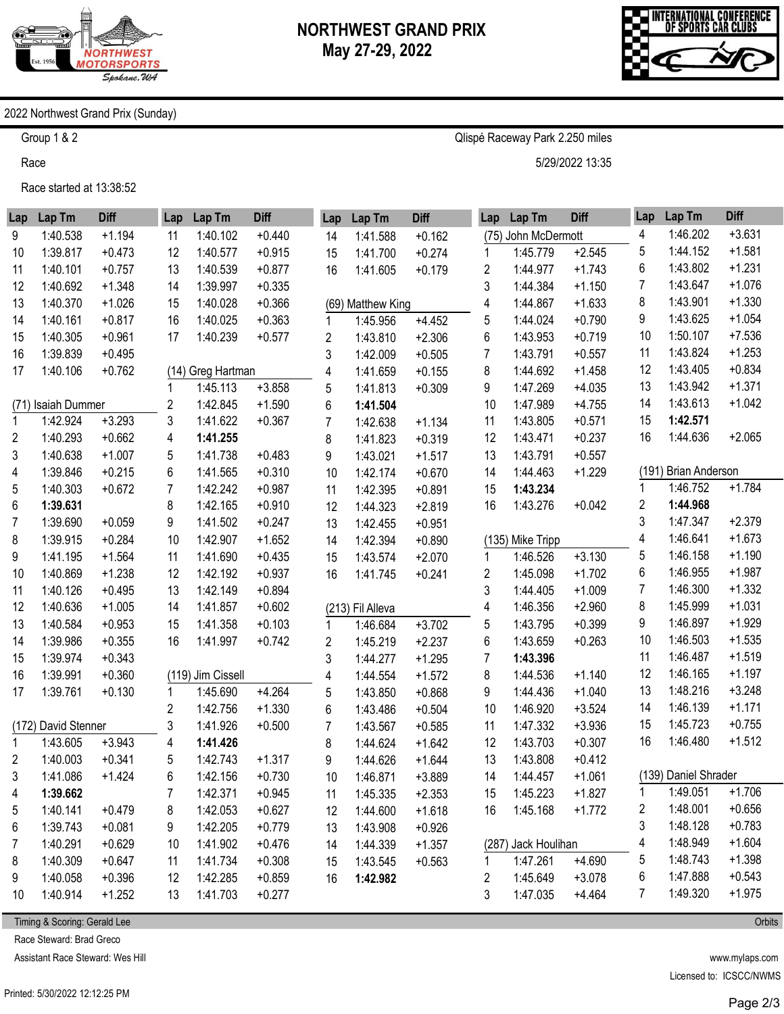

Qlispé Raceway Park 2.250 miles

5/29/2022 13:35



#### 2022 Northwest Grand Prix (Sunday)

Group 1 & 2

Race

Race started at 13:38:52

| Lap          | Lap Tm              | <b>Diff</b> | Lap | Lap Tm            | <b>Diff</b> | Lap | Lap Tm            | <b>Diff</b> | Lap | Lap Tm              | <b>Diff</b> | Lap                     | Lap Tm               | <b>Diff</b> |
|--------------|---------------------|-------------|-----|-------------------|-------------|-----|-------------------|-------------|-----|---------------------|-------------|-------------------------|----------------------|-------------|
| 9            | 1:40.538            | $+1.194$    | 11  | 1:40.102          | $+0.440$    | 14  | 1:41.588          | $+0.162$    |     | (75) John McDermott |             | 4                       | 1:46.202             | $+3.631$    |
| 10           | 1:39.817            | $+0.473$    | 12  | 1:40.577          | $+0.915$    | 15  | 1:41.700          | $+0.274$    | 1   | 1:45.779            | $+2.545$    | 5                       | 1:44.152             | $+1.581$    |
| 11           | 1:40.101            | $+0.757$    | 13  | 1:40.539          | $+0.877$    | 16  | 1:41.605          | $+0.179$    | 2   | 1:44.977            | $+1.743$    | 6                       | 1:43.802             | $+1.231$    |
| 12           | 1:40.692            | $+1.348$    | 14  | 1:39.997          | $+0.335$    |     |                   |             | 3   | 1:44.384            | $+1.150$    | 7                       | 1:43.647             | $+1.076$    |
| 13           | 1:40.370            | $+1.026$    | 15  | 1:40.028          | $+0.366$    |     | (69) Matthew King |             | 4   | 1:44.867            | $+1.633$    | 8                       | 1:43.901             | $+1.330$    |
| 14           | 1:40.161            | $+0.817$    | 16  | 1:40.025          | $+0.363$    | 1   | 1:45.956          | $+4.452$    | 5   | 1:44.024            | $+0.790$    | 9                       | 1:43.625             | $+1.054$    |
| 15           | 1:40.305            | $+0.961$    | 17  | 1:40.239          | $+0.577$    | 2   | 1:43.810          | $+2.306$    | 6   | 1:43.953            | $+0.719$    | 10                      | 1:50.107             | $+7.536$    |
| 16           | 1:39.839            | $+0.495$    |     |                   |             | 3   | 1:42.009          | $+0.505$    | 7   | 1:43.791            | $+0.557$    | 11                      | 1:43.824             | $+1.253$    |
| 17           | 1:40.106            | $+0.762$    |     | (14) Greg Hartman |             | 4   | 1:41.659          | $+0.155$    | 8   | 1:44.692            | $+1.458$    | 12                      | 1:43.405             | $+0.834$    |
|              |                     |             |     | 1:45.113          | $+3.858$    | 5   | 1:41.813          | $+0.309$    | 9   | 1:47.269            | $+4.035$    | 13                      | 1:43.942             | $+1.371$    |
| (71)         | Isaiah Dummer       |             | 2   | 1:42.845          | $+1.590$    | 6   | 1:41.504          |             | 10  | 1:47.989            | $+4.755$    | 14                      | 1:43.613             | $+1.042$    |
| $\mathbf{1}$ | 1:42.924            | $+3.293$    | 3   | 1:41.622          | $+0.367$    | 7   | 1:42.638          | $+1.134$    | 11  | 1:43.805            | $+0.571$    | 15                      | 1:42.571             |             |
| 2            | 1:40.293            | $+0.662$    | 4   | 1:41.255          |             | 8   | 1:41.823          | $+0.319$    | 12  | 1:43.471            | $+0.237$    | 16                      | 1:44.636             | $+2.065$    |
| 3            | 1:40.638            | $+1.007$    | 5   | 1:41.738          | $+0.483$    | 9   | 1:43.021          | $+1.517$    | 13  | 1:43.791            | $+0.557$    |                         |                      |             |
| 4            | 1:39.846            | $+0.215$    | 6   | 1:41.565          | $+0.310$    | 10  | 1:42.174          | $+0.670$    | 14  | 1:44.463            | $+1.229$    |                         | (191) Brian Anderson |             |
| 5            | 1:40.303            | $+0.672$    | 7   | 1:42.242          | $+0.987$    | 11  | 1:42.395          | $+0.891$    | 15  | 1:43.234            |             | 1                       | 1:46.752             | $+1.784$    |
| 6            | 1:39.631            |             | 8   | 1:42.165          | $+0.910$    | 12  | 1:44.323          | $+2.819$    | 16  | 1:43.276            | $+0.042$    | 2                       | 1:44.968             |             |
| 7            | 1:39.690            | $+0.059$    | 9   | 1:41.502          | $+0.247$    | 13  | 1:42.455          | $+0.951$    |     |                     |             | 3                       | 1:47.347             | $+2.379$    |
| 8            | 1:39.915            | $+0.284$    | 10  | 1:42.907          | $+1.652$    | 14  | 1:42.394          | $+0.890$    |     | (135) Mike Tripp    |             | 4                       | 1:46.641             | $+1.673$    |
| 9            | 1:41.195            | $+1.564$    | 11  | 1:41.690          | $+0.435$    | 15  | 1:43.574          | $+2.070$    | 1   | 1:46.526            | $+3.130$    | 5                       | 1:46.158             | $+1.190$    |
| 10           | 1:40.869            | $+1.238$    | 12  | 1:42.192          | $+0.937$    | 16  | 1:41.745          | $+0.241$    | 2   | 1:45.098            | $+1.702$    | 6                       | 1:46.955             | $+1.987$    |
| 11           | 1:40.126            | $+0.495$    | 13  | 1:42.149          | $+0.894$    |     |                   |             | 3   | 1:44.405            | $+1.009$    | 7                       | 1:46.300             | $+1.332$    |
| 12           | 1:40.636            | $+1.005$    | 14  | 1:41.857          | $+0.602$    |     | (213) Fil Alleva  |             | 4   | 1:46.356            | $+2.960$    | 8                       | 1:45.999             | $+1.031$    |
| 13           | 1:40.584            | $+0.953$    | 15  | 1:41.358          | $+0.103$    | 1   | 1:46.684          | $+3.702$    | 5   | 1:43.795            | $+0.399$    | 9                       | 1:46.897             | $+1.929$    |
| 14           | 1:39.986            | $+0.355$    | 16  | 1:41.997          | $+0.742$    | 2   | 1:45.219          | $+2.237$    | 6   | 1:43.659            | $+0.263$    | 10                      | 1:46.503             | $+1.535$    |
| 15           | 1:39.974            | $+0.343$    |     |                   |             | 3   | 1:44.277          | $+1.295$    | 7   | 1:43.396            |             | 11                      | 1:46.487             | $+1.519$    |
| 16           | 1:39.991            | $+0.360$    |     | (119) Jim Cissell |             | 4   | 1:44.554          | $+1.572$    | 8   | 1:44.536            | $+1.140$    | 12                      | 1:46.165             | $+1.197$    |
| 17           | 1:39.761            | $+0.130$    | 1   | 1:45.690          | $+4.264$    | 5   | 1:43.850          | $+0.868$    | 9   | 1:44.436            | $+1.040$    | 13                      | 1:48.216             | $+3.248$    |
|              |                     |             | 2   | 1:42.756          | $+1.330$    | 6   | 1:43.486          | $+0.504$    | 10  | 1:46.920            | $+3.524$    | 14                      | 1:46.139             | $+1.171$    |
|              | (172) David Stenner |             | 3   | 1:41.926          | $+0.500$    | 7   | 1:43.567          | $+0.585$    | 11  | 1:47.332            | $+3.936$    | 15                      | 1:45.723             | $+0.755$    |
| $\mathbf{1}$ | 1:43.605            | $+3.943$    | 4   | 1:41.426          |             | 8   | 1:44.624          | $+1.642$    | 12  | 1:43.703            | $+0.307$    | 16                      | 1:46.480             | $+1.512$    |
| 2            | 1:40.003            | $+0.341$    | 5   | 1:42.743          | $+1.317$    | 9   | 1:44.626          | $+1.644$    | 13  | 1:43.808            | $+0.412$    |                         |                      |             |
| 3            | 1:41.086            | $+1.424$    | 6   | 1:42.156          | $+0.730$    | 10  | 1:46.871          | $+3.889$    | 14  | 1:44.457            | $+1.061$    |                         | (139) Daniel Shrader |             |
| 4            | 1:39.662            |             | 7   | 1:42.371          | $+0.945$    | 11  | 1:45.335          | $+2.353$    | 15  | 1:45.223            | $+1.827$    | $\mathbf 1$             | 1:49.051             | $+1.706$    |
| 5            | 1:40.141            | $+0.479$    | 8   | 1:42.053          | $+0.627$    | 12  | 1:44.600          | $+1.618$    | 16  | 1:45.168            | $+1.772$    | $\overline{\mathbf{c}}$ | 1:48.001             | $+0.656$    |
| 6            | 1:39.743            | $+0.081$    | 9   | 1:42.205          | $+0.779$    | 13  | 1:43.908          | $+0.926$    |     |                     |             | 3                       | 1:48.128             | $+0.783$    |
| 7            | 1:40.291            | $+0.629$    | 10  | 1:41.902          | $+0.476$    | 14  | 1:44.339          | $+1.357$    |     | (287) Jack Houlihan |             | 4                       | 1:48.949             | $+1.604$    |
| 8            | 1:40.309            | $+0.647$    | 11  | 1:41.734          | $+0.308$    | 15  | 1:43.545          | $+0.563$    | 1   | 1:47.261            | $+4.690$    | 5                       | 1:48.743             | $+1.398$    |
| 9            | 1:40.058            | $+0.396$    | 12  | 1:42.285          | $+0.859$    | 16  | 1:42.982          |             | 2   | 1:45.649            | $+3.078$    | 6                       | 1:47.888             | $+0.543$    |
| 10           | 1:40.914            | $+1.252$    | 13  | 1:41.703          | $+0.277$    |     |                   |             | 3   | 1:47.035            | $+4.464$    | 7                       | 1:49.320             | $+1.975$    |

Timing & Scoring: Gerald Lee

Race Steward: Brad Greco

Assistant Race Steward: Wes Hill

www.mylaps.com Licensed to: ICSCC/NWMS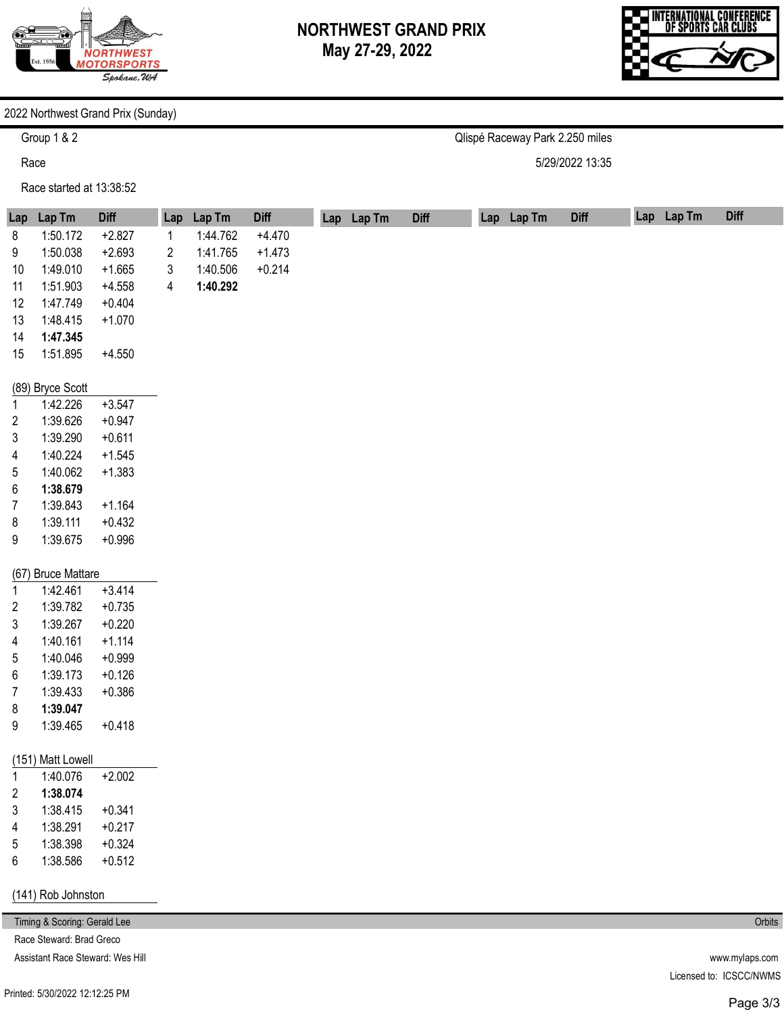

Qlispé Raceway Park 2.250 miles

5/29/2022 13:35



#### 2022 Northwest Grand Prix (Sunday)

Group 1 & 2

Race

Race started at 13:38:52

#### **Lap**  1 2 3 4 **Lap Tm**  1:44.762 1:41.765 1:40.506 **1:40.292 Diff**  +4.470 +1.473 +0.214 **Lap Lap Lap Tm Diff Lap Lap Tm Diff Lap Lap Tm Diff**  8 9 10 11 12 13 14 15 (89) Bryce Scott 1 2 3 4 5 6 7 8 9 (67) Bruce Mattare 1 2 3 4 5 6 7 8 9 (151) Matt Lowell 1 2 3 4 5 6 (141) Rob Johnston **Lap Tm**  1:50.172 1:50.038 1:49.010 1:51.903 1:47.749 1:48.415 **1:47.345**  1:51.895 1:42.226 1:39.626 1:39.290 1:40.224 1:40.062 **1:38.679**  1:39.843 1:39.111 1:39.675 1:42.461 1:39.782 1:39.267 1:40.161 1:40.046 1:39.173 1:39.433 **1:39.047**  1:39.465 1:40.076 **1:38.074**  1:38.415 1:38.291 1:38.398 1:38.586 **Diff**  +2.827 +2.693 +1.665 +4.558 +0.404 +1.070 +4.550 +3.547 +0.947 +0.611 +1.545 +1.383 +1.164 +0.432 +0.996 +3.414 +0.735 +0.220 +1.114 +0.999 +0.126 +0.386 +0.418 +2.002 +0.341 +0.217 +0.324 +0.512

Timing & Scoring: Gerald Lee Race Steward: Brad Greco

Assistant Race Steward: Wes Hill

**Orbits** 

www.mylaps.com Licensed to: ICSCC/NWMS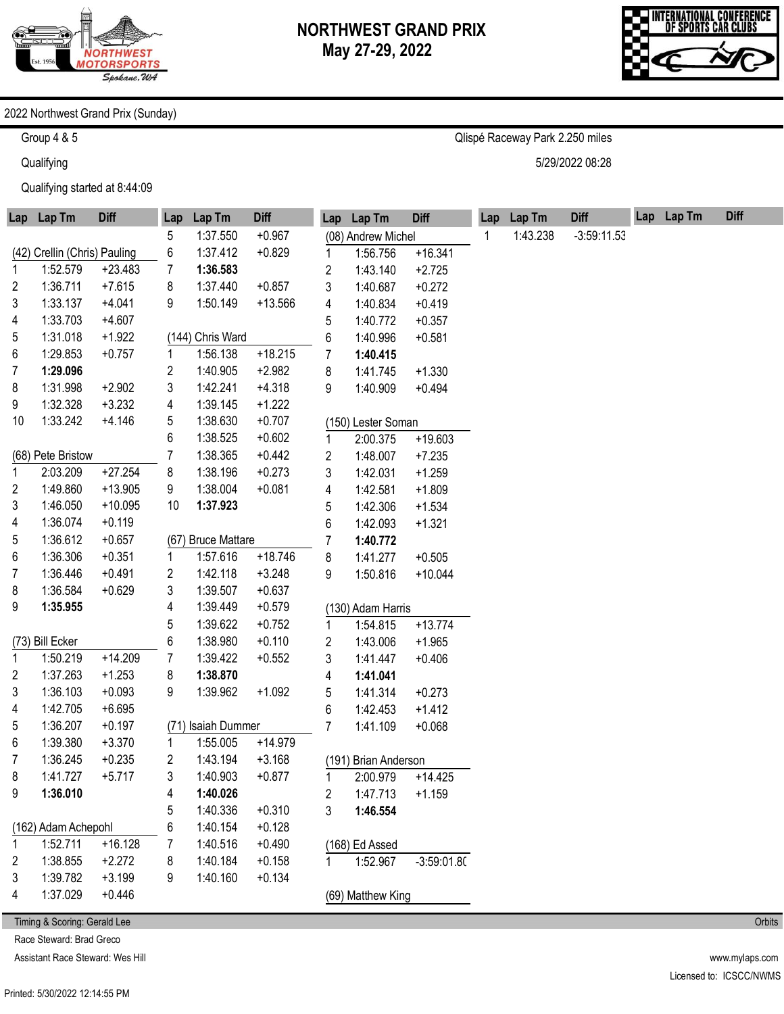

Qlispé Raceway Park 2.250 miles

5/29/2022 08:28



#### 2022 Northwest Grand Prix (Sunday)

Group 4 & 5

**Qualifying** 

Qualifying started at 8:44:09

| Lap | Lap Tm                       | <b>Diff</b> | Lap         | Lap Tm             | <b>Diff</b> |    | Lap Lap Tm           | <b>Diff</b>   | Lap | Lap Tm   | <b>Diff</b>   | Lap Lap Tm | <b>Diff</b> |
|-----|------------------------------|-------------|-------------|--------------------|-------------|----|----------------------|---------------|-----|----------|---------------|------------|-------------|
|     |                              |             | 5           | 1:37.550           | $+0.967$    |    | (08) Andrew Michel   |               | 1   | 1:43.238 | $-3:59:11.53$ |            |             |
|     | (42) Crellin (Chris) Pauling |             | 6           | 1:37.412           | $+0.829$    | 1  | 1:56.756             | $+16.341$     |     |          |               |            |             |
| 1   | 1:52.579                     | $+23.483$   | 7           | 1:36.583           |             | 2  | 1:43.140             | $+2.725$      |     |          |               |            |             |
| 2   | 1:36.711                     | $+7.615$    | 8           | 1:37.440           | $+0.857$    | 3  | 1:40.687             | $+0.272$      |     |          |               |            |             |
| 3   | 1:33.137                     | $+4.041$    | 9           | 1:50.149           | $+13.566$   | 4  | 1:40.834             | $+0.419$      |     |          |               |            |             |
| 4   | 1:33.703                     | $+4.607$    |             |                    |             | 5  | 1:40.772             | $+0.357$      |     |          |               |            |             |
| 5   | 1:31.018                     | $+1.922$    |             | (144) Chris Ward   |             | 6  | 1:40.996             | $+0.581$      |     |          |               |            |             |
| 6   | 1:29.853                     | $+0.757$    | 1           | 1:56.138           | $+18.215$   | 7  | 1:40.415             |               |     |          |               |            |             |
| 7   | 1:29.096                     |             | 2           | 1:40.905           | $+2.982$    | 8  | 1:41.745             | $+1.330$      |     |          |               |            |             |
| 8   | 1:31.998                     | $+2.902$    | 3           | 1:42.241           | $+4.318$    | 9  | 1:40.909             | $+0.494$      |     |          |               |            |             |
| 9   | 1:32.328                     | $+3.232$    | 4           | 1:39.145           | $+1.222$    |    |                      |               |     |          |               |            |             |
| 10  | 1:33.242                     | $+4.146$    | 5           | 1:38.630           | $+0.707$    |    | (150) Lester Soman   |               |     |          |               |            |             |
|     |                              |             | 6           | 1:38.525           | $+0.602$    | 1  | 2:00.375             | $+19.603$     |     |          |               |            |             |
|     | (68) Pete Bristow            |             | 7           | 1:38.365           | $+0.442$    | 2  | 1:48.007             | $+7.235$      |     |          |               |            |             |
| 1   | 2:03.209                     | $+27.254$   | 8           | 1:38.196           | $+0.273$    | 3  | 1:42.031             | $+1.259$      |     |          |               |            |             |
| 2   | 1:49.860                     | $+13.905$   | 9           | 1:38.004           | $+0.081$    | 4  | 1:42.581             | $+1.809$      |     |          |               |            |             |
| 3   | 1:46.050                     | $+10.095$   | 10          | 1:37.923           |             | 5  | 1:42.306             | $+1.534$      |     |          |               |            |             |
| 4   | 1:36.074                     | $+0.119$    |             |                    |             | 6  | 1:42.093             | $+1.321$      |     |          |               |            |             |
| 5   | 1:36.612                     | $+0.657$    |             | (67) Bruce Mattare |             | 7  | 1:40.772             |               |     |          |               |            |             |
| 6   | 1:36.306                     | $+0.351$    | 1           | 1:57.616           | $+18.746$   | 8  | 1:41.277             | $+0.505$      |     |          |               |            |             |
| 7   | 1:36.446                     | $+0.491$    | 2           | 1:42.118           | $+3.248$    | 9  | 1:50.816             | $+10.044$     |     |          |               |            |             |
| 8   | 1:36.584                     | $+0.629$    | 3           | 1:39.507           | $+0.637$    |    |                      |               |     |          |               |            |             |
| 9   | 1:35.955                     |             | 4           | 1:39.449           | $+0.579$    |    | (130) Adam Harris    |               |     |          |               |            |             |
|     |                              |             | 5           | 1:39.622           | $+0.752$    | 1. | 1:54.815             | $+13.774$     |     |          |               |            |             |
|     | (73) Bill Ecker              |             | 6           | 1:38.980           | $+0.110$    | 2  | 1:43.006             | $+1.965$      |     |          |               |            |             |
| 1   | 1:50.219                     | $+14.209$   | 7           | 1:39.422           | $+0.552$    | 3  | 1:41.447             | $+0.406$      |     |          |               |            |             |
| 2   | 1:37.263                     | $+1.253$    | 8           | 1:38.870           |             | 4  | 1:41.041             |               |     |          |               |            |             |
| 3   | 1:36.103                     | $+0.093$    | 9           | 1:39.962           | $+1.092$    | 5  | 1:41.314             | $+0.273$      |     |          |               |            |             |
| 4   | 1:42.705                     | $+6.695$    |             |                    |             | 6  | 1:42.453             | $+1.412$      |     |          |               |            |             |
| 5   | 1:36.207                     | $+0.197$    |             | (71) Isaiah Dummer |             | 7  | 1:41.109             | $+0.068$      |     |          |               |            |             |
| 6   | 1:39.380                     | $+3.370$    | $\mathbf 1$ | 1:55.005           | $+14.979$   |    |                      |               |     |          |               |            |             |
| 7   | 1:36.245                     | $+0.235$    | 2           | 1:43.194           | $+3.168$    |    | (191) Brian Anderson |               |     |          |               |            |             |
| 8   | 1:41.727                     | $+5.717$    | 3           | 1:40.903           | $+0.877$    | 1  | 2:00.979             | $+14.425$     |     |          |               |            |             |
| 9   | 1:36.010                     |             | 4           | 1:40.026           |             | 2  | 1:47.713             | $+1.159$      |     |          |               |            |             |
|     |                              |             | 5           | 1:40.336           | $+0.310$    | 3  | 1:46.554             |               |     |          |               |            |             |
|     | (162) Adam Achepohl          |             | 6           | 1:40.154           | $+0.128$    |    |                      |               |     |          |               |            |             |
| 1   | 1:52.711                     | $+16.128$   | 7           | 1:40.516           | $+0.490$    |    | (168) Ed Assed       |               |     |          |               |            |             |
| 2   | 1:38.855                     | $+2.272$    | 8           | 1:40.184           | $+0.158$    |    | 1:52.967             | $-3:59:01.80$ |     |          |               |            |             |
| 3   | 1:39.782                     | $+3.199$    | 9           | 1:40.160           | $+0.134$    |    |                      |               |     |          |               |            |             |
| 4   | 1:37.029                     | $+0.446$    |             |                    |             |    | (69) Matthew King    |               |     |          |               |            |             |
|     |                              |             |             |                    |             |    |                      |               |     |          |               |            |             |

Timing & Scoring: Gerald Lee

Race Steward: Brad Greco

Assistant Race Steward: Wes Hill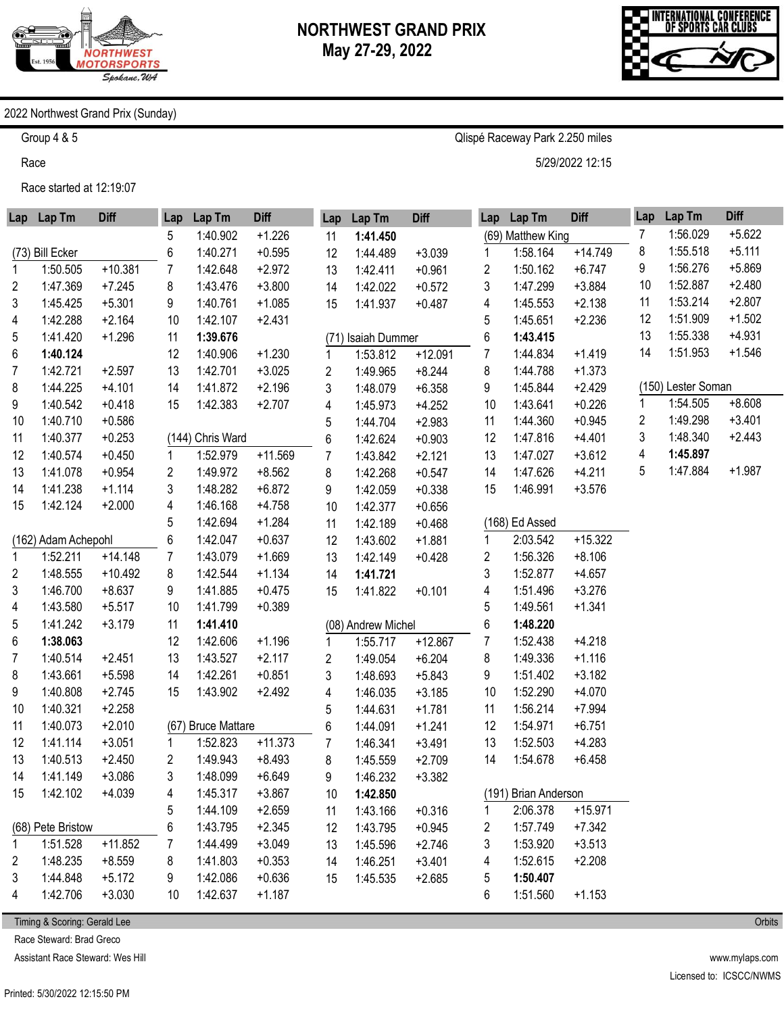



#### 2022 Northwest Grand Prix (Sunday)

Group 4 & 5

Race

Race started at 12:19:07

|                | Lap Lap Tm          | <b>Diff</b> | Lap | Lap Tm             | <b>Diff</b> | Lap            | Lap Tm             | <b>Diff</b> | Lap | Lap Tm               | <b>Diff</b> | Lap | Lap Tm             | <b>Diff</b> |
|----------------|---------------------|-------------|-----|--------------------|-------------|----------------|--------------------|-------------|-----|----------------------|-------------|-----|--------------------|-------------|
|                |                     |             | 5   | 1:40.902           | $+1.226$    | 11             | 1:41.450           |             |     | (69) Matthew King    |             | 7   | 1:56.029           | $+5.622$    |
|                | (73) Bill Ecker     |             | 6   | 1:40.271           | $+0.595$    | 12             | 1:44.489           | $+3.039$    | 1   | 1:58.164             | $+14.749$   | 8   | 1:55.518           | $+5.111$    |
| 1              | 1:50.505            | $+10.381$   | 7   | 1:42.648           | $+2.972$    | 13             | 1:42.411           | $+0.961$    | 2   | 1:50.162             | $+6.747$    | 9   | 1:56.276           | $+5.869$    |
| 2              | 1:47.369            | $+7.245$    | 8   | 1:43.476           | $+3.800$    | 14             | 1:42.022           | $+0.572$    | 3   | 1:47.299             | $+3.884$    | 10  | 1:52.887           | $+2.480$    |
| 3              | 1:45.425            | $+5.301$    | 9   | 1:40.761           | $+1.085$    | 15             | 1:41.937           | $+0.487$    | 4   | 1:45.553             | $+2.138$    | 11  | 1:53.214           | $+2.807$    |
| 4              | 1:42.288            | $+2.164$    | 10  | 1:42.107           | $+2.431$    |                |                    |             | 5   | 1:45.651             | $+2.236$    | 12  | 1:51.909           | $+1.502$    |
| 5              | 1:41.420            | $+1.296$    | 11  | 1:39.676           |             |                | (71) Isaiah Dummer |             | 6   | 1:43.415             |             | 13  | 1:55.338           | $+4.931$    |
| 6              | 1:40.124            |             | 12  | 1:40.906           | $+1.230$    | 1              | 1:53.812           | $+12.091$   | 7   | 1:44.834             | $+1.419$    | 14  | 1:51.953           | $+1.546$    |
| 7              | 1:42.721            | $+2.597$    | 13  | 1:42.701           | $+3.025$    | $\overline{2}$ | 1:49.965           | $+8.244$    | 8   | 1:44.788             | $+1.373$    |     |                    |             |
| 8              | 1:44.225            | $+4.101$    | 14  | 1:41.872           | $+2.196$    | 3              | 1:48.079           | $+6.358$    | 9   | 1:45.844             | $+2.429$    |     | (150) Lester Soman |             |
| 9              | 1:40.542            | $+0.418$    | 15  | 1:42.383           | $+2.707$    | 4              | 1:45.973           | $+4.252$    | 10  | 1:43.641             | $+0.226$    | 1   | 1:54.505           | $+8.608$    |
| 10             | 1:40.710            | $+0.586$    |     |                    |             | 5              | 1:44.704           | $+2.983$    | 11  | 1:44.360             | $+0.945$    | 2   | 1:49.298           | $+3.401$    |
| 11             | 1:40.377            | $+0.253$    |     | (144) Chris Ward   |             | 6              | 1:42.624           | $+0.903$    | 12  | 1:47.816             | $+4.401$    | 3   | 1:48.340           | $+2.443$    |
| 12             | 1:40.574            | $+0.450$    | 1   | 1:52.979           | $+11.569$   | 7              | 1:43.842           | $+2.121$    | 13  | 1:47.027             | $+3.612$    | 4   | 1:45.897           |             |
| 13             | 1:41.078            | $+0.954$    | 2   | 1:49.972           | $+8.562$    | 8              | 1:42.268           | $+0.547$    | 14  | 1:47.626             | $+4.211$    | 5   | 1:47.884           | $+1.987$    |
| 14             | 1:41.238            | $+1.114$    | 3   | 1:48.282           | $+6.872$    | 9              | 1:42.059           | $+0.338$    | 15  | 1:46.991             | $+3.576$    |     |                    |             |
| 15             | 1:42.124            | $+2.000$    | 4   | 1:46.168           | $+4.758$    | 10             | 1:42.377           | $+0.656$    |     |                      |             |     |                    |             |
|                |                     |             | 5   | 1:42.694           | $+1.284$    | 11             | 1:42.189           | $+0.468$    |     | (168) Ed Assed       |             |     |                    |             |
|                | (162) Adam Achepohl |             | 6   | 1:42.047           | $+0.637$    | 12             | 1:43.602           | $+1.881$    | 1   | 2:03.542             | $+15.322$   |     |                    |             |
| $\mathbf{1}$   | 1:52.211            | $+14.148$   | 7   | 1:43.079           | $+1.669$    | 13             | 1:42.149           | $+0.428$    | 2   | 1:56.326             | $+8.106$    |     |                    |             |
| $\overline{2}$ | 1:48.555            | $+10.492$   | 8   | 1:42.544           | $+1.134$    | 14             | 1:41.721           |             | 3   | 1:52.877             | $+4.657$    |     |                    |             |
| 3              | 1:46.700            | $+8.637$    | 9   | 1:41.885           | $+0.475$    | 15             | 1:41.822           | $+0.101$    | 4   | 1:51.496             | $+3.276$    |     |                    |             |
| 4              | 1:43.580            | $+5.517$    | 10  | 1:41.799           | $+0.389$    |                |                    |             | 5   | 1:49.561             | $+1.341$    |     |                    |             |
| 5              | 1:41.242            | $+3.179$    | 11  | 1:41.410           |             |                | (08) Andrew Michel |             | 6   | 1:48.220             |             |     |                    |             |
| 6              | 1:38.063            |             | 12  | 1:42.606           | $+1.196$    | 1              | 1:55.717           | $+12.867$   | 7   | 1:52.438             | $+4.218$    |     |                    |             |
| 7              | 1:40.514            | $+2.451$    | 13  | 1:43.527           | $+2.117$    | $\overline{2}$ | 1:49.054           | $+6.204$    | 8   | 1:49.336             | $+1.116$    |     |                    |             |
| 8              | 1:43.661            | $+5.598$    | 14  | 1:42.261           | $+0.851$    | 3              | 1:48.693           | $+5.843$    | 9   | 1:51.402             | $+3.182$    |     |                    |             |
| 9              | 1:40.808            | $+2.745$    | 15  | 1:43.902           | $+2.492$    | 4              | 1:46.035           | $+3.185$    | 10  | 1:52.290             | $+4.070$    |     |                    |             |
| 10             | 1:40.321            | $+2.258$    |     |                    |             | 5              | 1:44.631           | $+1.781$    | 11  | 1:56.214             | $+7.994$    |     |                    |             |
| 11             | 1:40.073            | $+2.010$    |     | (67) Bruce Mattare |             | 6              | 1:44.091           | $+1.241$    | 12  | 1:54.971             | $+6.751$    |     |                    |             |
| 12             | 1:41.114            | $+3.051$    | 1   | 1:52.823           | $+11.373$   | 7              | 1:46.341           | $+3.491$    | 13  | 1:52.503             | $+4.283$    |     |                    |             |
| 13             | 1:40.513            | $+2.450$    | 2   | 1:49.943           | $+8.493$    | 8              | 1:45.559           | $+2.709$    | 14  | 1:54.678             | $+6.458$    |     |                    |             |
| 14             | 1:41.149            | $+3.086$    | 3   | 1:48.099           | $+6.649$    | 9              | 1:46.232           | $+3.382$    |     |                      |             |     |                    |             |
| 15             | 1:42.102            | $+4.039$    | 4   | 1:45.317           | $+3.867$    | 10             | 1:42.850           |             |     | (191) Brian Anderson |             |     |                    |             |
|                |                     |             | 5   | 1:44.109           | $+2.659$    | 11             | 1:43.166           | $+0.316$    | 1   | 2:06.378             | $+15.971$   |     |                    |             |
|                | (68) Pete Bristow   |             | 6   | 1:43.795           | $+2.345$    | 12             | 1:43.795           | $+0.945$    | 2   | 1:57.749             | $+7.342$    |     |                    |             |
| 1              | 1:51.528            | $+11.852$   |     | 1:44.499           | $+3.049$    | 13             | 1:45.596           | $+2.746$    | 3   | 1:53.920             | $+3.513$    |     |                    |             |
| 2              | 1:48.235            | $+8.559$    | 8   | 1:41.803           | $+0.353$    | 14             | 1:46.251           | $+3.401$    | 4   | 1:52.615             | $+2.208$    |     |                    |             |
| 3              | 1:44.848            | $+5.172$    | 9   | 1:42.086           | $+0.636$    | 15             | 1:45.535           | $+2.685$    | 5   | 1:50.407             |             |     |                    |             |
| 4              | 1:42.706            | $+3.030$    | 10  | 1:42.637           | $+1.187$    |                |                    |             | 6   | 1:51.560             | $+1.153$    |     |                    |             |

Timing & Scoring: Gerald Lee

Race Steward: Brad Greco

Assistant Race Steward: Wes Hill

Printed: 5/30/2022 12:15:50 PM

www.mylaps.com Licensed to: ICSCC/NWMS

**Orbits** 

5/29/2022 12:15

Qlispé Raceway Park 2.250 miles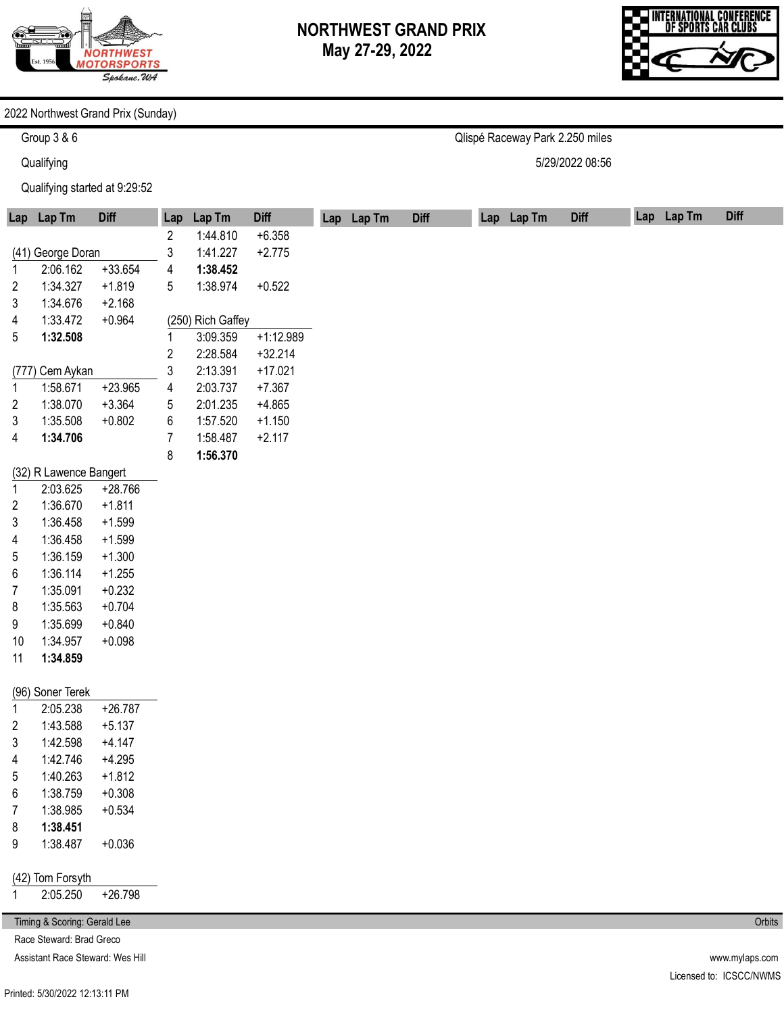

Qlispé Raceway Park 2.250 miles

5/29/2022 08:56



#### 2022 Northwest Grand Prix (Sunday)

Group 3 & 6

**Qualifying** 

Qualifying started at 9:29:52

|       | Lap Lap Tm                       | <b>Diff</b> | Lap                     | Lap Tm            | <b>Diff</b> | Lap Lap Tm | <b>Diff</b> | Lap Lap Tm | <b>Diff</b> | Lap Lap Tm | <b>Diff</b>    |
|-------|----------------------------------|-------------|-------------------------|-------------------|-------------|------------|-------------|------------|-------------|------------|----------------|
|       |                                  |             | 2                       | 1:44.810          | $+6.358$    |            |             |            |             |            |                |
|       | (41) George Doran                |             | 3                       | 1:41.227          | $+2.775$    |            |             |            |             |            |                |
| 1     | 2:06.162                         | $+33.654$   | 4                       | 1:38.452          |             |            |             |            |             |            |                |
| 2     | 1:34.327                         | $+1.819$    | 5                       | 1:38.974          | $+0.522$    |            |             |            |             |            |                |
| 3     | 1:34.676                         | $+2.168$    |                         |                   |             |            |             |            |             |            |                |
| 4     | 1:33.472                         | $+0.964$    |                         | (250) Rich Gaffey |             |            |             |            |             |            |                |
| 5     | 1:32.508                         |             | 1                       | 3:09.359          | $+1:12.989$ |            |             |            |             |            |                |
|       |                                  |             | $\overline{\mathbf{c}}$ | 2:28.584          | $+32.214$   |            |             |            |             |            |                |
| (777) | Cem Aykan                        |             | 3                       | 2:13.391          | $+17.021$   |            |             |            |             |            |                |
| 1     | 1:58.671                         | $+23.965$   | 4                       | 2:03.737          | $+7.367$    |            |             |            |             |            |                |
| 2     | 1:38.070                         | $+3.364$    | 5                       | 2:01.235          | $+4.865$    |            |             |            |             |            |                |
| 3     | 1:35.508                         | $+0.802$    | 6                       | 1:57.520          | $+1.150$    |            |             |            |             |            |                |
| 4     | 1:34.706                         |             | $\overline{7}$          | 1:58.487          | $+2.117$    |            |             |            |             |            |                |
|       |                                  |             | 8                       | 1:56.370          |             |            |             |            |             |            |                |
|       | (32) R Lawence Bangert           |             |                         |                   |             |            |             |            |             |            |                |
| 1     | 2:03.625                         | $+28.766$   |                         |                   |             |            |             |            |             |            |                |
| 2     | 1:36.670                         | $+1.811$    |                         |                   |             |            |             |            |             |            |                |
| 3     | 1:36.458                         | $+1.599$    |                         |                   |             |            |             |            |             |            |                |
| 4     | 1:36.458                         | $+1.599$    |                         |                   |             |            |             |            |             |            |                |
| 5     | 1:36.159                         | $+1.300$    |                         |                   |             |            |             |            |             |            |                |
| 6     | 1:36.114                         | $+1.255$    |                         |                   |             |            |             |            |             |            |                |
| 7     | 1:35.091                         | $+0.232$    |                         |                   |             |            |             |            |             |            |                |
| 8     | 1:35.563                         | $+0.704$    |                         |                   |             |            |             |            |             |            |                |
| 9     | 1:35.699                         | $+0.840$    |                         |                   |             |            |             |            |             |            |                |
| 10    | 1:34.957                         | $+0.098$    |                         |                   |             |            |             |            |             |            |                |
| 11    | 1:34.859                         |             |                         |                   |             |            |             |            |             |            |                |
|       | (96) Soner Terek                 |             |                         |                   |             |            |             |            |             |            |                |
| 1     | 2:05.238                         | $+26.787$   |                         |                   |             |            |             |            |             |            |                |
| 2     | 1:43.588                         | $+5.137$    |                         |                   |             |            |             |            |             |            |                |
| 3     | 1:42.598                         | $+4.147$    |                         |                   |             |            |             |            |             |            |                |
| 4     | 1:42.746                         | $+4.295$    |                         |                   |             |            |             |            |             |            |                |
| 5     | 1:40.263                         | $+1.812$    |                         |                   |             |            |             |            |             |            |                |
| 6     | 1:38.759                         | $+0.308$    |                         |                   |             |            |             |            |             |            |                |
| 7     | 1:38.985                         | $+0.534$    |                         |                   |             |            |             |            |             |            |                |
| 8     | 1:38.451                         |             |                         |                   |             |            |             |            |             |            |                |
| 9     | 1:38.487                         | $+0.036$    |                         |                   |             |            |             |            |             |            |                |
|       |                                  |             |                         |                   |             |            |             |            |             |            |                |
|       | (42) Tom Forsyth                 |             |                         |                   |             |            |             |            |             |            |                |
| 1     | 2:05.250                         | $+26.798$   |                         |                   |             |            |             |            |             |            |                |
|       | Timing & Scoring: Gerald Lee     |             |                         |                   |             |            |             |            |             |            | Orbits         |
|       | Race Steward: Brad Greco         |             |                         |                   |             |            |             |            |             |            |                |
|       | Assistant Race Steward: Wes Hill |             |                         |                   |             |            |             |            |             |            | www.mylaps.com |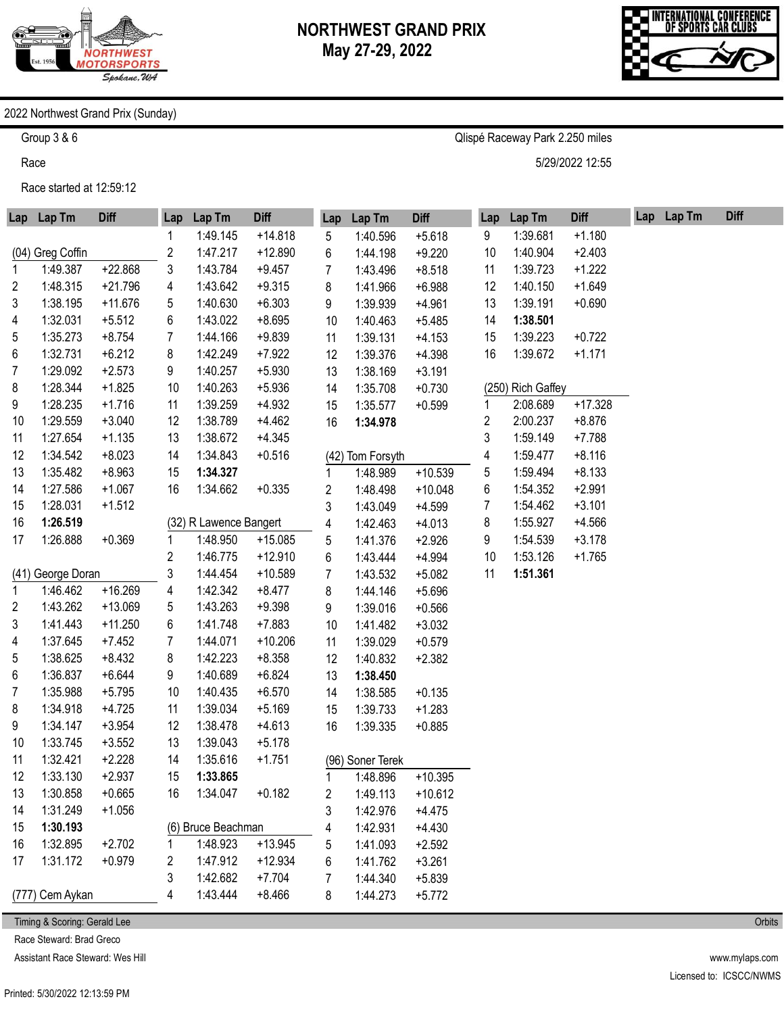

Qlispé Raceway Park 2.250 miles

5/29/2022 12:55



#### 2022 Northwest Grand Prix (Sunday)

Group 3 & 6

Race

Race started at 12:59:12

| Lap | Lap Tm            | <b>Diff</b> | Lap                     | Lap Tm                 | <b>Diff</b> | Lap              | Lap Tm           | <b>Diff</b> | Lap | Lap Tm            | <b>Diff</b> | Lap Lap Tm | <b>Diff</b> |
|-----|-------------------|-------------|-------------------------|------------------------|-------------|------------------|------------------|-------------|-----|-------------------|-------------|------------|-------------|
|     |                   |             | 1                       | 1:49.145               | $+14.818$   | 5                | 1:40.596         | $+5.618$    | 9   | 1:39.681          | $+1.180$    |            |             |
|     | (04) Greg Coffin  |             | $\overline{\mathbf{c}}$ | 1:47.217               | $+12.890$   | 6                | 1:44.198         | $+9.220$    | 10  | 1:40.904          | $+2.403$    |            |             |
| 1   | 1:49.387          | $+22.868$   | 3                       | 1:43.784               | $+9.457$    | 7                | 1:43.496         | $+8.518$    | 11  | 1:39.723          | $+1.222$    |            |             |
| 2   | 1:48.315          | $+21.796$   | 4                       | 1:43.642               | $+9.315$    | 8                | 1:41.966         | $+6.988$    | 12  | 1:40.150          | $+1.649$    |            |             |
| 3   | 1:38.195          | $+11.676$   | 5                       | 1:40.630               | $+6.303$    | 9                | 1:39.939         | $+4.961$    | 13  | 1:39.191          | $+0.690$    |            |             |
| 4   | 1:32.031          | $+5.512$    | 6                       | 1:43.022               | $+8.695$    | 10               | 1:40.463         | $+5.485$    | 14  | 1:38.501          |             |            |             |
| 5   | 1:35.273          | $+8.754$    | $\overline{7}$          | 1:44.166               | $+9.839$    | 11               | 1:39.131         | $+4.153$    | 15  | 1:39.223          | $+0.722$    |            |             |
| 6   | 1:32.731          | $+6.212$    | 8                       | 1:42.249               | $+7.922$    | 12               | 1:39.376         | $+4.398$    | 16  | 1:39.672          | $+1.171$    |            |             |
| 7   | 1:29.092          | $+2.573$    | 9                       | 1:40.257               | $+5.930$    | 13               | 1:38.169         | $+3.191$    |     |                   |             |            |             |
| 8   | 1:28.344          | $+1.825$    | 10                      | 1:40.263               | $+5.936$    | 14               | 1:35.708         | $+0.730$    |     | (250) Rich Gaffey |             |            |             |
| 9   | 1:28.235          | $+1.716$    | 11                      | 1:39.259               | $+4.932$    | 15               | 1:35.577         | $+0.599$    | 1   | 2:08.689          | $+17.328$   |            |             |
| 10  | 1:29.559          | $+3.040$    | 12                      | 1:38.789               | $+4.462$    | 16               | 1:34.978         |             | 2   | 2:00.237          | $+8.876$    |            |             |
| 11  | 1:27.654          | $+1.135$    | 13                      | 1:38.672               | $+4.345$    |                  |                  |             | 3   | 1:59.149          | $+7.788$    |            |             |
| 12  | 1:34.542          | $+8.023$    | 14                      | 1:34.843               | $+0.516$    |                  | (42) Tom Forsyth |             | 4   | 1:59.477          | $+8.116$    |            |             |
| 13  | 1:35.482          | $+8.963$    | 15                      | 1:34.327               |             | 1                | 1:48.989         | $+10.539$   | 5   | 1:59.494          | $+8.133$    |            |             |
| 14  | 1:27.586          | $+1.067$    | 16                      | 1:34.662               | $+0.335$    | 2                | 1:48.498         | $+10.048$   | 6   | 1:54.352          | $+2.991$    |            |             |
| 15  | 1:28.031          | $+1.512$    |                         |                        |             | 3                | 1:43.049         | $+4.599$    | 7   | 1:54.462          | $+3.101$    |            |             |
| 16  | 1:26.519          |             |                         | (32) R Lawence Bangert |             | 4                | 1:42.463         | $+4.013$    | 8   | 1:55.927          | $+4.566$    |            |             |
| 17  | 1:26.888          | $+0.369$    | 1                       | 1:48.950               | $+15.085$   | 5                | 1:41.376         | $+2.926$    | 9   | 1:54.539          | $+3.178$    |            |             |
|     |                   |             | $\overline{\mathbf{c}}$ | 1:46.775               | $+12.910$   | 6                | 1:43.444         | $+4.994$    | 10  | 1:53.126          | $+1.765$    |            |             |
|     | (41) George Doran |             | 3                       | 1:44.454               | $+10.589$   | 7                | 1:43.532         | $+5.082$    | 11  | 1:51.361          |             |            |             |
| 1   | 1:46.462          | $+16.269$   | 4                       | 1:42.342               | $+8.477$    | 8                | 1:44.146         | $+5.696$    |     |                   |             |            |             |
| 2   | 1:43.262          | $+13.069$   | 5                       | 1:43.263               | $+9.398$    | 9                | 1:39.016         | $+0.566$    |     |                   |             |            |             |
| 3   | 1:41.443          | $+11.250$   | 6                       | 1:41.748               | $+7.883$    | 10               | 1:41.482         | $+3.032$    |     |                   |             |            |             |
| 4   | 1:37.645          | $+7.452$    | 7                       | 1:44.071               | $+10.206$   | 11               | 1:39.029         | $+0.579$    |     |                   |             |            |             |
| 5   | 1:38.625          | $+8.432$    | 8                       | 1:42.223               | $+8.358$    | 12               | 1:40.832         | $+2.382$    |     |                   |             |            |             |
| 6   | 1:36.837          | $+6.644$    | 9                       | 1:40.689               | $+6.824$    | 13               | 1:38.450         |             |     |                   |             |            |             |
| 7   | 1:35.988          | $+5.795$    | 10                      | 1:40.435               | $+6.570$    | 14               | 1:38.585         | $+0.135$    |     |                   |             |            |             |
| 8   | 1:34.918          | $+4.725$    | 11                      | 1:39.034               | $+5.169$    | 15               | 1:39.733         | $+1.283$    |     |                   |             |            |             |
| 9   | 1:34.147          | $+3.954$    | 12                      | 1:38.478               | $+4.613$    | 16               | 1:39.335         | $+0.885$    |     |                   |             |            |             |
| 10  | 1:33.745          | $+3.552$    | 13                      | 1:39.043               | $+5.178$    |                  |                  |             |     |                   |             |            |             |
| 11  | 1:32.421          | $+2.228$    | 14                      | 1:35.616               | $+1.751$    |                  | (96) Soner Terek |             |     |                   |             |            |             |
| 12  | 1:33.130          | $+2.937$    | 15                      | 1:33.865               |             | 1                | 1:48.896         | $+10.395$   |     |                   |             |            |             |
| 13  | 1:30.858          | $+0.665$    | 16                      | 1:34.047               | $+0.182$    | $\boldsymbol{2}$ | 1:49.113         | $+10.612$   |     |                   |             |            |             |
| 14  | 1:31.249          | $+1.056$    |                         |                        |             | 3                | 1:42.976         | $+4.475$    |     |                   |             |            |             |
| 15  | 1:30.193          |             |                         | (6) Bruce Beachman     |             | 4                | 1:42.931         | $+4.430$    |     |                   |             |            |             |
| 16  | 1:32.895          | $+2.702$    | 1                       | 1:48.923               | $+13.945$   | 5                | 1:41.093         | $+2.592$    |     |                   |             |            |             |
| 17  | 1:31.172          | $+0.979$    | 2                       | 1:47.912               | $+12.934$   | 6                | 1:41.762         | $+3.261$    |     |                   |             |            |             |
|     |                   |             | 3                       | 1:42.682               | $+7.704$    | 7                | 1:44.340         | $+5.839$    |     |                   |             |            |             |
|     | (777) Cem Aykan   |             | 4                       | 1:43.444               | $+8.466$    | 8                | 1:44.273         | $+5.772$    |     |                   |             |            |             |

Timing & Scoring: Gerald Lee

Race Steward: Brad Greco

Assistant Race Steward: Wes Hill

Printed: 5/30/2022 12:13:59 PM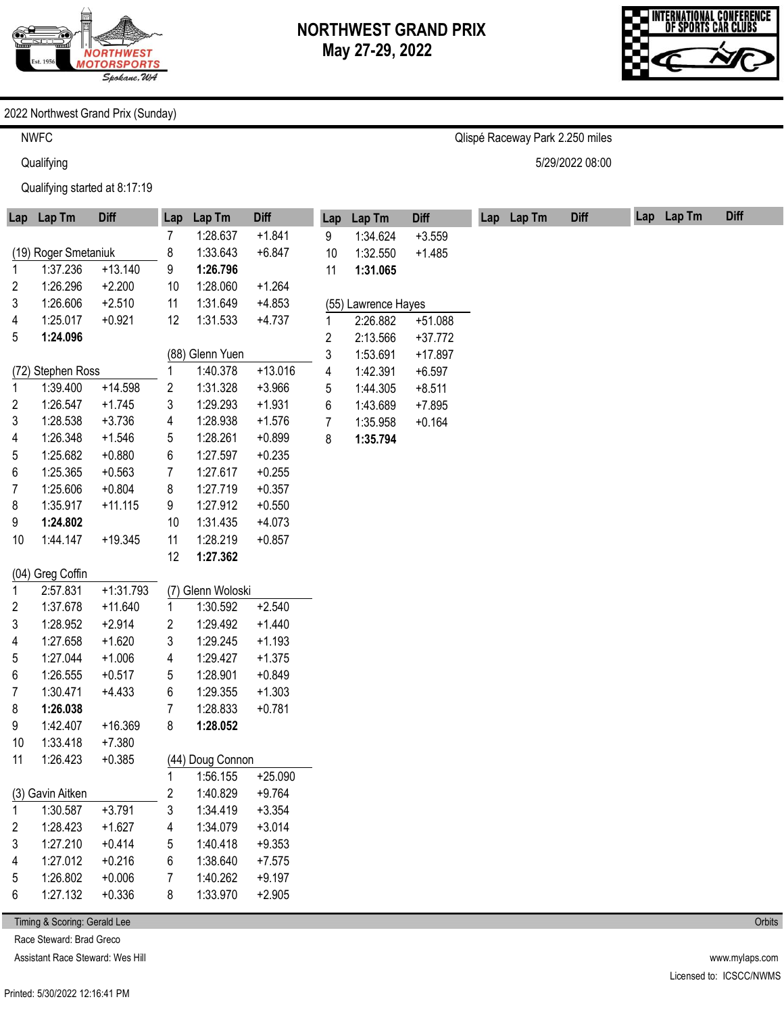

Qlispé Raceway Park 2.250 miles

5/29/2022 08:00



#### 2022 Northwest Grand Prix (Sunday)

NWFC

**Qualifying** 

Qualifying started at 8:17:19

| Lap | Lap Tm               | <b>Diff</b> | Lap              | Lap Tm            | <b>Diff</b> | Lap                     | Lap Tm              | <b>Diff</b> | Lap Lap Tm | <b>Diff</b> | Lap Lap Tm | <b>Diff</b> |
|-----|----------------------|-------------|------------------|-------------------|-------------|-------------------------|---------------------|-------------|------------|-------------|------------|-------------|
|     |                      |             | 7                | 1:28.637          | $+1.841$    | 9                       | 1:34.624            | $+3.559$    |            |             |            |             |
|     | (19) Roger Smetaniuk |             | 8                | 1:33.643          | $+6.847$    | 10                      | 1:32.550            | $+1.485$    |            |             |            |             |
| 1   | 1:37.236             | $+13.140$   | 9                | 1:26.796          |             | 11                      | 1:31.065            |             |            |             |            |             |
| 2   | 1:26.296             | $+2.200$    | 10               | 1:28.060          | $+1.264$    |                         |                     |             |            |             |            |             |
| 3   | 1:26.606             | $+2.510$    | 11               | 1:31.649          | $+4.853$    |                         | (55) Lawrence Hayes |             |            |             |            |             |
| 4   | 1:25.017             | $+0.921$    | 12               | 1:31.533          | $+4.737$    | 1                       | 2:26.882            | $+51.088$   |            |             |            |             |
| 5   | 1:24.096             |             |                  |                   |             | $\overline{\mathbf{c}}$ | 2:13.566            | $+37.772$   |            |             |            |             |
|     |                      |             |                  | (88) Glenn Yuen   |             | 3                       | 1:53.691            | $+17.897$   |            |             |            |             |
|     | (72) Stephen Ross    |             | 1                | 1:40.378          | $+13.016$   | 4                       | 1:42.391            | $+6.597$    |            |             |            |             |
| 1   | 1:39.400             | $+14.598$   | 2                | 1:31.328          | $+3.966$    | 5                       | 1:44.305            | $+8.511$    |            |             |            |             |
| 2   | 1:26.547             | $+1.745$    | 3                | 1:29.293          | $+1.931$    | 6                       | 1:43.689            | $+7.895$    |            |             |            |             |
| 3   | 1:28.538             | $+3.736$    | 4                | 1:28.938          | $+1.576$    | 7                       | 1:35.958            | $+0.164$    |            |             |            |             |
| 4   | 1:26.348             | $+1.546$    | 5                | 1:28.261          | $+0.899$    | 8                       | 1:35.794            |             |            |             |            |             |
| 5   | 1:25.682             | $+0.880$    | 6                | 1:27.597          | $+0.235$    |                         |                     |             |            |             |            |             |
| 6   | 1:25.365             | $+0.563$    | 7                | 1:27.617          | $+0.255$    |                         |                     |             |            |             |            |             |
| 7   | 1:25.606             | $+0.804$    | 8                | 1:27.719          | $+0.357$    |                         |                     |             |            |             |            |             |
| 8   | 1:35.917             | $+11.115$   | 9                | 1:27.912          | $+0.550$    |                         |                     |             |            |             |            |             |
| 9   | 1:24.802             |             | 10               | 1:31.435          | $+4.073$    |                         |                     |             |            |             |            |             |
| 10  | 1:44.147             | $+19.345$   | 11               | 1:28.219          | $+0.857$    |                         |                     |             |            |             |            |             |
|     |                      |             | 12               | 1:27.362          |             |                         |                     |             |            |             |            |             |
|     | (04) Greg Coffin     |             |                  |                   |             |                         |                     |             |            |             |            |             |
| 1   | 2:57.831             | $+1:31.793$ |                  | (7) Glenn Woloski |             |                         |                     |             |            |             |            |             |
| 2   | 1:37.678             | $+11.640$   | 1                | 1:30.592          | $+2.540$    |                         |                     |             |            |             |            |             |
| 3   | 1:28.952             | $+2.914$    | 2                | 1:29.492          | $+1.440$    |                         |                     |             |            |             |            |             |
| 4   | 1:27.658             | $+1.620$    | 3                | 1:29.245          | $+1.193$    |                         |                     |             |            |             |            |             |
| 5   | 1:27.044             | $+1.006$    | 4                | 1:29.427          | $+1.375$    |                         |                     |             |            |             |            |             |
| 6   | 1:26.555             | $+0.517$    | 5                | 1:28.901          | $+0.849$    |                         |                     |             |            |             |            |             |
| 7   | 1:30.471             | $+4.433$    | 6                | 1:29.355          | $+1.303$    |                         |                     |             |            |             |            |             |
| 8   | 1:26.038             |             | 7                | 1:28.833          | $+0.781$    |                         |                     |             |            |             |            |             |
| 9   | 1:42.407             | $+16.369$   | 8                | 1:28.052          |             |                         |                     |             |            |             |            |             |
| 10  | 1:33.418             | $+7.380$    |                  |                   |             |                         |                     |             |            |             |            |             |
| 11  | 1:26.423             | $+0.385$    |                  | (44) Doug Connon  |             |                         |                     |             |            |             |            |             |
|     |                      |             | 1                | 1:56.155          | $+25.090$   |                         |                     |             |            |             |            |             |
|     | (3) Gavin Aitken     |             | $\boldsymbol{2}$ | 1:40.829          | $+9.764$    |                         |                     |             |            |             |            |             |
| 1   | 1:30.587             | $+3.791$    | 3                | 1:34.419          | $+3.354$    |                         |                     |             |            |             |            |             |
| 2   | 1:28.423             | $+1.627$    | 4                | 1:34.079          | $+3.014$    |                         |                     |             |            |             |            |             |
| 3   | 1:27.210             | $+0.414$    | 5                | 1:40.418          | $+9.353$    |                         |                     |             |            |             |            |             |
| 4   | 1:27.012             | $+0.216$    | 6                | 1:38.640          | $+7.575$    |                         |                     |             |            |             |            |             |
| 5   | 1:26.802             | $+0.006$    | 7                | 1:40.262          | $+9.197$    |                         |                     |             |            |             |            |             |
| 6   | 1:27.132             | $+0.336$    | 8                | 1:33.970          | $+2.905$    |                         |                     |             |            |             |            |             |
|     |                      |             |                  |                   |             |                         |                     |             |            |             |            |             |

Timing & Scoring: Gerald Lee

Race Steward: Brad Greco

Assistant Race Steward: Wes Hill